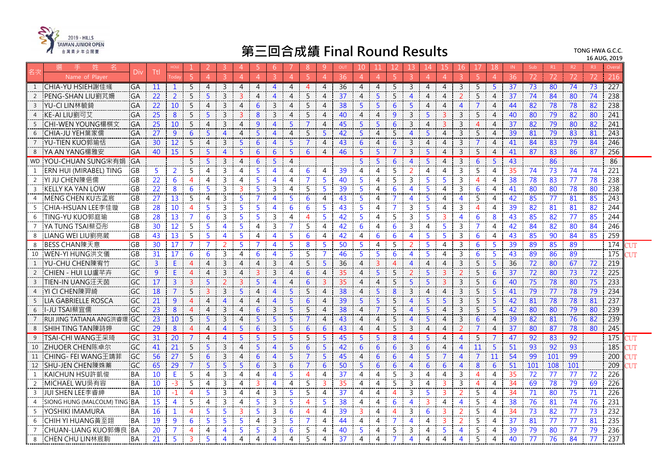

|                | 姓<br>名                       | Div       | Ttl             |                 |                |                | 3                        | $\overline{4}$             | 5.                      | -6                     |                | 8              | 9              | OUT | 10             | 11             | 12             | 13                      | 14             | 15             | 16                      | 17              | 18             | IN | Sub | R1  | R2              | R <sub>3</sub> | Overa |       |
|----------------|------------------------------|-----------|-----------------|-----------------|----------------|----------------|--------------------------|----------------------------|-------------------------|------------------------|----------------|----------------|----------------|-----|----------------|----------------|----------------|-------------------------|----------------|----------------|-------------------------|-----------------|----------------|----|-----|-----|-----------------|----------------|-------|-------|
|                | Name of Player               |           |                 |                 |                |                |                          | $\Delta$                   | $\Delta$                |                        |                |                | $\overline{A}$ | 36  | $\overline{4}$ | $\overline{4}$ | 5              | $\overline{3}$          | $\overline{4}$ | $\overline{4}$ |                         |                 | $\overline{A}$ | 36 | 72  | 72  | 72              | 72             | 216   |       |
| 1              | CHIA-YU HSIEH謝佳彧             | GA        | 11              | $\mathbf{1}$    | 5              | 4              | 3                        | $\overline{4}$             | 4                       | $\overline{4}$         | 4              | 4              | $\overline{4}$ | 36  | $\overline{4}$ | $\overline{4}$ | 5              | $\overline{\mathbf{3}}$ | $\overline{4}$ | $\overline{4}$ | 3                       | 5               | $5^{\circ}$    | 37 | 73  | 80  | 74              | 73             | 227   |       |
| 2              | PENG-SHAN LIU劉芃姍             | GA        | 22              | $\overline{2}$  | 5              | 5              | $\mathsf{R}$             | ₹                          | 4                       | Δ                      | 4              | 5              | 4              | 37  | $\overline{4}$ | 5 <sup>1</sup> | 5              | $\overline{\mathbf{A}}$ | 4              | $\overline{4}$ | $\mathcal{P}$           | 5               | 4              | 37 | 74  | 84  | 80              | 74             | 238   |       |
| $\overline{3}$ | YU-CI LIN林毓錡                 | GA        | 22              | 10 <sup>°</sup> | 5              | 4              | 3                        | $\overline{4}$             | 6                       | 3                      | 4              | 5              | 4              | 38  | 5              | 5              | 6              | 5                       | $\overline{4}$ | 4              | $\overline{4}$          | $\overline{7}$  | 4              | 44 | 82  | 78  | 78              | 82             | 238   |       |
|                | KE-AI LIU劉可艾                 | GA        | 25              | 8               | 5              | $\overline{5}$ | $\overline{3}$           | $\overline{3}$             | 8                       | 3                      | $\overline{4}$ | 5              | 4              | 40  | $\overline{4}$ | $\overline{4}$ | 9              | $\mathbf{3}$            | 5              | $\overline{3}$ | $\mathbf{3}$            | 5               | $\overline{4}$ | 40 | 80  | 79  | 82              | 80             | 241   |       |
| - 5            | CHI-WEN YOUNG楊棋文             | GA        | 25              | 10              | 5              | 4              | 3                        | $\overline{4}$             | 9                       | $\boldsymbol{\Lambda}$ | 5              | $\overline{7}$ | $\overline{4}$ | 45  | 5 <sup>1</sup> | 5 <sup>1</sup> | 6              | $\overline{3}$          | $\overline{4}$ | $\mathbf{3}$   | $\mathbf{3}$            | $\overline{4}$  | $\overline{4}$ | 37 | 82  | 79  | 80              | 82             | 241   |       |
| -6             | CHIA-JU YEH葉家儒               | GA        | 27              | 9               | 6              | 5              | $\overline{4}$           | 4                          | 5                       | Δ                      | Δ              | 5              | 5              | 42  | 5              | $\overline{4}$ | 5              | $\overline{4}$          | 5              | 4              | 3                       | 5               | 4              | 39 | 81  | 79  | 83              | 81             | 243   |       |
| 7              | YU-TIEN KUO郭瑜恬               | GA        | 30              | 12              | 5              | $\overline{4}$ | $\mathbf{3}$             | 5                          | 6                       | $\overline{4}$         | 5              | 7              | $\overline{4}$ | 43  | 6              | $\overline{4}$ | 6              | 3                       | $\overline{4}$ | $\overline{4}$ | 3                       | $\overline{7}$  | 4              | 41 | 84  | 83  | 79              | 84             | 246   |       |
| 8              | YA AN YANG楊雅安                | GA        | 40              | 15              | 5              | 5              | $\overline{4}$           | 5                          | 6                       | 6                      | 5              | 6              | $\overline{4}$ | 46  | 5              | 5              |                | 3                       | 5              | 4              | 3                       | 5               | 4              | 41 | 87  | 83  | 86              | 87             | 256   |       |
| <b>WD</b>      | YOU-CHUAN SUNG宋有娟            | <b>GA</b> |                 |                 | 5              | 5              | 3                        | $\overline{4}$             | 6                       | 5                      | 4              |                |                |     | 5              | 5              | 6              | $\overline{4}$          | 5              | 4              | 3                       | 6               | 5              | 43 |     | 86  |                 |                | 86    |       |
| -1             | ERN HUI (MIRABEL) TING       | GB        | -5              | 2               | 5              | 4              | 3                        | 4                          | -5                      | $\overline{4}$         | 4              | 6              | 4              | 39  | $\overline{4}$ | $\overline{4}$ | 5              | 2                       | $\overline{4}$ | 4              | 3                       | 5.              | $\overline{4}$ | 35 | 74  | 73  | 74              | 74             | 221   |       |
|                | YI JU CHEN陳俋儒                | GB        | 22              | 6               | $\overline{4}$ | 4              | $\overline{3}$           | $\overline{4}$             | .5                      | $\overline{4}$         | 4              |                | 5              | 40  | 5              | 4              | 5              | 3                       | 5              | 5              | $\mathbf{3}$            | 4               | 4              | 38 | 78  | 83  | 77              | 78             | 238   |       |
| $\overline{3}$ | <b>KELLY KA YAN LOW</b>      | GB        | $\overline{22}$ | 8               | 6              | 5              | 3                        | $\mathbf{R}$               | $\overline{\mathbf{5}}$ | 3                      | $\overline{A}$ | 5              | $\overline{5}$ | 39  | 5 <sup>1</sup> | $\overline{4}$ | 6              | $\overline{\mathbf{A}}$ | 5              | $\overline{4}$ | $\overline{3}$          | $6\overline{6}$ | $\overline{4}$ | 41 | 80  | 80  | 78              | 80             | 238   |       |
| -4             | MENG CHEN KU古孟宸              | GB        | 27              | 13 <sup>2</sup> | 5              | $\overline{4}$ | 3                        | -5                         | 7                       | $\overline{4}$         | 5              | 6              | 4              | 43  | 5              | 4              | $\overline{7}$ | $\overline{4}$          | 5              | 4              | 4                       | 5               | 4              | 42 | 85  | 77  | 81              | 85             | 243   |       |
| - 5            | CHIA-HSUAN LEE李佳璇            | GB        | 28              | 10              | $\overline{4}$ | 5              | 3                        | 5                          | -5                      | 4                      | 6              | 6              | 5              | 43  | 5              | 4              | $\overline{7}$ | 3                       | 5              | 4              | 3                       | 4               | 4              | 39 | 82  | 81  | 81              | 82             | 244   |       |
| -6             | TING-YU KUO郭庭瑜               | GB.       | 28              | 13              | 7              | 6              | 3                        | -5                         | 5                       | 3                      | 4              | 4              | 5              | 42  | 5              | 4              | 5              | 3                       | 5              | 3              | $\overline{4}$          | 6               | 8              | 43 | 85  | 82  | 77              | 85             | 244   |       |
|                | YA TUNG TSAI蔡亞彤              | GB        | 30              | 12              | 5              | 5              | $\overline{\mathcal{A}}$ | -5                         | 4                       | 3                      | 7              | 5              | 4              | 42  | 6              | 4              | 6              | 3                       | $\overline{4}$ | 5              | 3                       | $\overline{7}$  | 4              | 42 | 84  | 82  | 80              | 84             | 246   |       |
| -8             | LIANG WEI LIU劉亮葳             | <b>GB</b> | 43              | 13              | 5              | -5             | $\overline{4}$           | -5                         | 4                       | $\overline{4}$         | 5              | 6              | 4              | 42  | $\overline{4}$ | 6              | 6              | $\overline{4}$          | 5              | 5              | 3                       | 6               | $\overline{4}$ | 43 | 85  | 90  | 84              | 85             | 259   |       |
| -8             | BESS CHAN陳天意                 | GB        | 30              | 17              | 7              |                | 2                        | 5.                         | 7                       | $\overline{4}$         | 5              | 8              | -5             | 50  | $\overline{5}$ | 4              | 5              | 2                       | 5              | 4              | 3                       | 6               | 5              | 39 | 89  | 85  | $\overline{89}$ |                | 174   |       |
| 10             | WEN-YI HUNG洪文儀               | GB        | 31              | 17              | 6              | 6              | $\overline{3}$           | 4                          | 6                       | 4                      | 5              | 5              | 7              | 46  | 5              | 5              | 6              | 4                       | 5              | 4              | 3                       | 6               | 5              | 43 | 89  | 86  | 89              |                | 175   |       |
| 1              | YU-CHU CHEN陳宥竹               | <b>GC</b> | 3               | E               | $\overline{4}$ | $\overline{4}$ | 3                        | 4                          | 4                       | 3                      | 4              | 5              | 5              | 36  | $\overline{4}$ | $\overline{3}$ | $\overline{4}$ | $\overline{4}$          | 4              | 4              | 3                       | 5               | 5              | 36 | 72  | 80  | 67              | 72             | 219   |       |
| 2              | CHIEN - HUI LU盧芊卉            | GC        | 9               | E.              | $\overline{4}$ | 4              | $\overline{3}$           | 4                          | 3                       | 3                      | $\overline{A}$ | 6              | $\overline{4}$ | 35  | $\overline{4}$ | 5 <sup>1</sup> | 5              | 2                       | 5              | 3              | 2                       | 5               | 6              | 37 | 72  | 80  | 73              | 72             | 225   |       |
| $\overline{3}$ | TIEN-IN UANG汗天茵              | GC        | <b>17</b>       | $\overline{3}$  | 3              | 5              | 2                        | 3                          | 5                       | $\overline{4}$         | 4              | 6              | 3              | 35  | $\overline{4}$ | $\overline{4}$ | 5              | 5                       | 5              | $\mathbf{3}$   | $\mathbf{3}$            | 5               | 6              | 40 | 75  | 78  | 80              | 75             | 233   |       |
|                | YI CI CHEN陳羿綺                | GC        | 18              | $\overline{7}$  | 5              | 3              | $\overline{3}$           | $\overline{5}$             | $\overline{A}$          | Δ                      | 5              | 5              | 4              | 38  | $\overline{4}$ | 5 <sup>1</sup> | 8              | $\overline{3}$          | $\overline{4}$ | $\overline{4}$ | $\overline{3}$          | 5               | $\overline{5}$ | 41 | 79  | 77  | 78              | 79             | 234   |       |
| -5             | LIA GABRIELLE ROSCA          | <b>GC</b> | 21              | 9               | $\overline{4}$ | 4              | $\overline{A}$           | $\boldsymbol{\mathcal{A}}$ | $\overline{A}$          | $\boldsymbol{\Delta}$  | 5              | 6              | $\overline{4}$ | 39  | 5 <sup>1</sup> | 5 <sup>1</sup> | 5              | $\overline{4}$          | 5 <sup>1</sup> | 5              | $\mathbf{3}$            | 5               | 5              | 42 | 81  | 78  | 78              | 81             | 237   |       |
| 6              | -JU TSAI蔡宜儒                  | GC        | 23              | 8               | $\overline{4}$ | 4              | 3                        | 4                          | 6                       | 3                      | 5              | 5              | 4              | 38  | 4              | $\overline{7}$ | 5              | 4                       | 5              | 4              | 3                       | 5               | 5              | 42 | 80  | 80  | 79              | 80             | 239   |       |
| $\overline{7}$ | RUI JING TATIANA ANG洪睿璟      | GC        | 23              | 10              | 5              | 5              | $\overline{3}$           | $\overline{4}$             | $\overline{5}$          | 5                      | 5              | 7              | 4              | 43  | $\overline{4}$ | $\overline{4}$ | 5 <sup>5</sup> | $\overline{4}$          | 5 <sup>1</sup> | $\overline{4}$ | $\overline{3}$          | 6               | $\overline{4}$ | 39 | 82  | 81  | 76              | 82             | 239   |       |
| 8              | ISHIH TING TAN陳詩婷            | GC        | 29              | 8               | $\overline{4}$ | $\overline{4}$ | $\overline{4}$           | 5                          | 6                       | 3                      | 5              | 6              | 6              | 43  | $\overline{4}$ | $\overline{4}$ | 5              | $\mathbf{3}$            | $\overline{4}$ | $\overline{4}$ | $\overline{2}$          | $\overline{7}$  | $\overline{4}$ | 37 | 80  | 87  | 78              | 80             | 245   |       |
| 9              | TSAI-CHI WANG王采琦             | GC        | 31              | 20              |                | $\overline{4}$ | $\overline{4}$           | 5                          | 5                       | 5                      | 5              | 5              | 5              | 45  | 5 <sup>5</sup> | 5 <sup>5</sup> | 8              | $\overline{4}$          | 5              | $\overline{4}$ | $\overline{4}$          | 5               | $\overline{7}$ | 47 | 92  | 83  | $\overline{92}$ |                | 175   | דו די |
| 10             | ZHUOER CHEN陈卓尔               | GC        | 41              | 21              | 5              | 5              | $\overline{3}$           | $\overline{4}$             | -5                      | $\overline{4}$         | 5              | 6              | 5              | 42  | 6              | 6              | 6              | $\mathbf{3}$            | 6              | $\overline{4}$ | $\overline{4}$          | 11              | 5              | 51 | -93 | 92  | 93              |                | 185   | ЧM    |
| 11             | CHING- FEI WANG干靖菲           | GC        | 56              | 27              | 5              | 6              | 3                        | 4                          | 6                       | 4                      | 5              | $\overline{7}$ | 5              | 45  | $\overline{4}$ | 6              | 6              | $\overline{4}$          | 5              | $\overline{7}$ | 4                       | $\overline{7}$  | 11             | 54 | 99  | 101 | 99              |                | 200   | NЛ    |
| 12             | SHU-JEN CHEN陳姝蓁              | GC        | 65              | 29              | $\overline{7}$ | 5              | $\overline{5}$           | $\overline{5}$             | 6                       | 3                      | 6              | 7              | 6              | 50  | $5^{\circ}$    | 6              | 6              | $\overline{4}$          | 6              | 6              | $\overline{4}$          | 8               | 6              | 51 | 101 | 108 | 101             |                | 209   | דו זי |
| <sup>1</sup>   | KAICHUN HSU許凱俊               | <b>BA</b> | 10              | E               | 5              | 4              | $\mathbf{3}$             | 4                          | $\overline{A}$          | $\boldsymbol{\Delta}$  | Б              | Δ              | 4              | 37  | $\overline{4}$ | $\overline{4}$ | 5              | 3                       | 4              | $\overline{4}$ | 3                       | $\overline{4}$  | 4              | 35 | 72  | 77  | 77              | 72             | 226   |       |
| 2              | MICHAEL WU吳有容                | <b>BA</b> | 10              | $-3$            | 5              | $\overline{4}$ | 3                        | 4                          | 3                       | $\Delta$               | $\overline{4}$ | 5              | $\overline{3}$ | 35  | $\overline{4}$ | $\overline{4}$ | 5              | 3                       | $\overline{4}$ | 3              | 3                       | $\overline{4}$  | $\overline{4}$ | 34 | 69  | 78  | 79              | 69             | 226   |       |
| 3              | JUI SHEN LEE李睿紳              | <b>BA</b> | 10              | $-1$            | $\overline{4}$ | 5              | 3                        | 4                          | 4                       | 3                      | 5              | 5              | 4              | 37  | $\overline{4}$ | 4              | $\overline{4}$ | 3                       | 5              | 3              | 2                       | 5.              | 4              | 34 | 71  | 80  | 75              | 71             | 226   |       |
| 4              | SIONG HUNG (MALCOLM) TING BA |           | 15              | $\overline{4}$  | -5             | 4              | 3                        | 4                          | 5                       | 3                      | 5              | 4              | 5              | 38  | 4              | 4              | 6              | 4                       | 3              | 4              | 4                       | 5.              | 4              | 38 | 76  | 81  | 74              | 76             | 231   |       |
| - 5            | YOSHIKI IMAMURA              | BA        | 16              | $\mathbf{1}$    | $\overline{4}$ | 5              | 5                        | 3                          | 5                       | 3                      | 6              | Δ              | 4              | 39  | 3              | $\overline{4}$ | $\overline{4}$ | $\overline{3}$          | 6              | 3              | $\overline{2}$          | 5               | 4              | 34 | 73  | 82  | 77              | 73             | 232   |       |
| - 6            | <b>CHIH YI HUANG</b> 黃至翊     | <b>BA</b> | 19              | 9               | 6              | 5              | 5                        | 5                          | 4                       | 3                      | 5              | 7              | 4              | 44  | $\overline{4}$ | $\overline{4}$ | $\overline{7}$ | 4                       | 4              | 3              | 2                       | 5               | 4              | 37 | 81  | 77  | 77              | 81             | 235   |       |
|                | CHUAN-LIANG KUO郭傳良           | <b>BA</b> | 20              | 7               | $\overline{4}$ | 4              | $\overline{\mathbf{4}}$  | 5                          |                         | ξ                      | 6              | 5              | 4              | 40  | 5              | 4              | 5              | 3                       | 4              | 5              | 4                       | 5               | 4              | 39 | 79  | 80  | 77              | 79             | 236   |       |
|                | CHEN CHU LIN林宸駒              | <b>BA</b> | 21              | 5               | 3              | $\overline{5}$ | $\overline{\mathbf{A}}$  | 4                          | 4                       | $\Delta$               | 4              | 5              | $\Delta$       | 37  | $\overline{4}$ | 4              | $\overline{7}$ | $\Delta$                | 4              | $\overline{4}$ | $\overline{\mathbf{A}}$ | 5.              | 4              | 40 | 77  | 76  | 84              | 77             | 237   |       |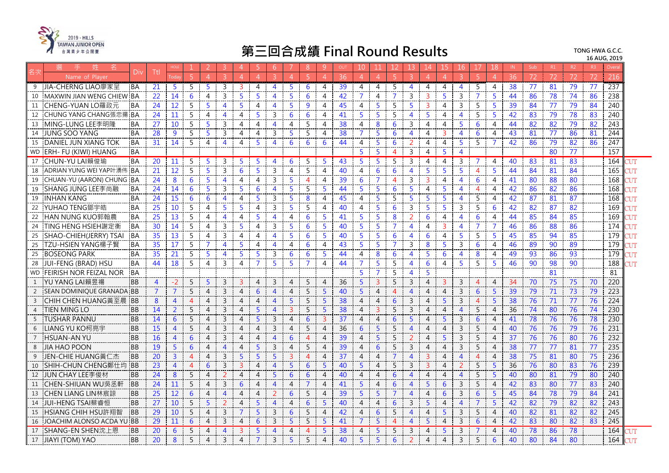

|                | 姓<br>名                        | Div       | Ttl            |                |                |                       |                | 4                     | 5              | 6                        |   | 8        | 9              | OUT | 10             | 11             | 12.             | 13.                      | 14             | 15             | 16             | 17             | 18             | IN | Sub | R1              | R2 | R <sub>3</sub> | Overa |       |
|----------------|-------------------------------|-----------|----------------|----------------|----------------|-----------------------|----------------|-----------------------|----------------|--------------------------|---|----------|----------------|-----|----------------|----------------|-----------------|--------------------------|----------------|----------------|----------------|----------------|----------------|----|-----|-----------------|----|----------------|-------|-------|
|                | Name of Plaver                |           |                |                |                |                       |                | $\Delta$              | $\Delta$       |                          |   |          | $\Delta$       | 36  | $\overline{4}$ | $\overline{4}$ | 5               | $\overline{3}$           | $\overline{A}$ | $\overline{4}$ |                |                | $\overline{4}$ | 36 | 72  | 72              | 72 | 72             | 216   |       |
| 9              | JIA-CHERNG LIAO廖家呈            | <b>BA</b> | 21             | -5             | 5              | 5                     | 3              | 3                     | 4              | 4                        | 5 | 6        | 4              | 39  | 4              | 4              | 5               | $\overline{4}$           | 4              | 4              | 4              | 5              | 4              | 38 | 77  | 81              | 79 | 77             | 237   |       |
| 10             | MAXWIN JIAN WENG CHIEW        | <b>BA</b> | 22             | 14             | 6              | 4                     | 3              | 5                     | 5              | Δ                        | 5 | 6        | 4              | 42  | $\overline{7}$ | 4              | $\overline{7}$  | 3                        | 3              | 5.             | 3              | $\overline{7}$ | 5.             | 44 | 86  | 78              | 74 | 86             | 238   |       |
| 11             | CHENG-YUAN LO羅政元              | BA        | 24             | 12             | 5              | 5                     | $\overline{4}$ | 5                     | 4              | 4                        | 5 | 9        | 4              | 45  | 4              | 5              | 5               | 5                        | 3              | 4              | 3              | 5              | 5              | 39 | 84  | 77              | 79 | 84             | 240   |       |
| 12             | CHUNG YANG CHANG張忠揚 IBA       |           | 24             | 11             | 5              | 4                     | 4              | $\overline{4}$        | 5              | 3                        | 6 | 6        | 4              | 41  | 5              | 5              | 5               | $\overline{4}$           | 5              | $\overline{4}$ | 4              | 5              | 5              | 42 | 83  | 79              | 78 | 83             | 240   |       |
| 13             | MING-LUNG LEE李明隆              | <b>BA</b> | 27             | 10             | 5              | 5                     | 3              | 4                     | 4              | $\overline{4}$           | 4 | 5        | 4              | 38  | $\overline{4}$ | 8              | 6               | 3                        | $\overline{4}$ | $\overline{4}$ | 5.             | 6              | $\overline{4}$ | 44 | 82  | 82              | 79 | 82             | 243   |       |
| 14             | <b>JUNG SOO YANG</b>          | <b>BA</b> | 28             | 9              | 5              | 5                     | 3              | 4                     | 4              | ξ                        | 5 | 5        | 4              | 38  | $\overline{7}$ | 5              | 6               | $\overline{4}$           | 4              | 3              | 4              | 6              | 4              | 43 | 81  | 77              | 86 | 81             | 244   |       |
| 15             | <b>DANIEL JUN XIANG TOK</b>   | <b>BA</b> | 31             | 14             | 5              | 4                     | $\overline{4}$ | $\overline{4}$        | 5              | $\overline{4}$           | 6 | 6        | 6              | 44  | 4              | 5              | 6               | 2                        | $\overline{4}$ | 4              | 5.             | 5              | 7              | 42 | 86  | 79              | 82 | 86             | 247   |       |
| <b>WD</b>      | <b>ERH- FU (KIWI) HUANG</b>   | <b>BA</b> |                |                |                |                       |                |                       |                |                          |   |          |                |     | 5              | 5              | $\overline{4}$  | 3                        | 4              | 5              | 4              |                |                |    |     | 80              | 77 |                | 157   |       |
| 17             | CHUN-YU LAI賴俊瑜                | BA        | 20             | 11             | 5              | 5                     | 3              | -5                    | 5              | $\overline{4}$           | 6 | 5        | 5              | 43  | 5              | 5              | 5               | $\overline{3}$           | $\overline{4}$ | $\overline{4}$ | 3              | $\overline{7}$ | 4              | 40 | 83  | $\overline{81}$ | 83 |                | 164   | דו זי |
| 18             | ADRIAN YUNG WEI YAP叶湧伟        | <b>BA</b> | 21             | 12             | 5              | 5                     | 3              | 6                     | 5              | 3                        | 4 | 5        | $\overline{4}$ | 40  | $\overline{4}$ | 6              | 6               | $\overline{\mathbf{4}}$  | 5              | 5              | 5.             | $\overline{4}$ | 5              | 44 | 84  | 81              | 84 |                | 165   | UТ    |
| 19             | CHUAN-YU (AARON) CHUNG        | <b>BA</b> | 24             | 8              | 6              | 5                     | 4              | 4                     | 4              | 3                        | 5 | 4        | 4              | 39  | 6              | $\overline{7}$ | 4               | 3                        | 3              | 4              | 4              | 6              | 4              | 41 | -80 | 88              | 80 |                | 168   | ТUТ   |
| 19             | SHANG JUNG LEE李尚融             | <b>BA</b> | 24             | 14             | 6              | $\overline{5}$        | 3              | 5.                    | 6              | $\boldsymbol{\varDelta}$ | 5 | 5        | 5              | 44  | $\overline{5}$ | 5              | 6               | 5.                       | $\overline{4}$ | 5              | $\overline{4}$ | $\overline{4}$ | 4              | 42 | 86  | 82              | 86 |                | 168   | דו די |
| 19             | <b>INHAN KANG</b>             | <b>BA</b> | 24             | 15             | 6              | 6                     | $\overline{4}$ | 4                     | 5              | 3                        | 5 | 8        | 4              | 45  | $\overline{4}$ | 5              | 5               | 5                        | 5              | 5              | 4              | 5.             | 4              | 42 | 87  | 81              | 87 |                | 168   |       |
| 22             | YUHAO TENG鄧宇皓                 | <b>BA</b> | 25             | 10             | 5              | 4                     | 5              | 5                     | 4              | 3                        | 5 | 5        | 4              | 40  | 4              | 5              | 6               | 3                        | 5              | 5              | 3              | 5              | 6              | 42 | 82  | 87              | 82 |                | 169   |       |
| 22             | HAN NUNG KUO郭翰農               | <b>BA</b> | 25             | 13             | 5              | 4                     | 4              | 4                     | 5              | $\overline{4}$           | 4 | 6        | -5             | 41  | 5              | 5              | 8               | 2                        | 6              | 4              | 4              | 6              | 4              | 44 | 85  | 84              | 85 |                | 169   | ΊIΤ   |
| 24             | TING HENG HSIEH謝定衡            | <b>BA</b> | 30             | 14             | 5              | 4                     | 3              | 5                     | 4              | 3                        | 5 | 6        | -5             | 40  | 5              | 5              | $\overline{7}$  | $\overline{4}$           | 4              | 3              | 4              | $\overline{7}$ | $\overline{7}$ | 46 | 86  | 88              | 86 |                | 174   | דו זי |
| 25             | SHAO-CHIEH(JERRY) TSAI        | <b>BA</b> | 35             | 13             | 5              | 4                     | $\mathbf{3}$   | $\overline{4}$        | 4              | $\overline{4}$           | 5 | 6        | 5              | 40  | $\overline{5}$ | 5              | 6               | 4                        | 6              | 4              | 5              | 5              | 5              | 45 | 85  | 94              | 85 |                | 179   | NЛ    |
| 25             | TZU-HSIEN YANG楊子賢             | <b>BA</b> | 35             | 17             | 5              | 7                     | $\overline{4}$ | 5                     | 4              | Δ                        | 4 | 6        | 4              | 43  | 5              | 5              | $\overline{7}$  | 3                        | 8              | 5              | 3              | 6              | 4              | 46 | 89  | 90              | 89 |                | 179   |       |
| 25             | <b>BOSEONG PARK</b>           | BA        | 35             | 21             | 5              | .5                    | 4              | 5                     | 5              | 3                        | 6 | 6        | 5              | 44  | 4              | 8              | 6               | 4                        | 5              | 6              | 4              | 8              | 4              | 49 | 93  | 86              | 93 |                | 179   | ЧM    |
| 28             | JUI-FENG (BRAD) HSU           | :BA       | 44             | 18             | 5              | 4                     | 3              | $\overline{4}$        | $\overline{7}$ | 5                        | Б | 7        | 4              | 44  | $\overline{7}$ | $5^{\circ}$    | 5               | $\overline{4}$           | 6              | $\overline{4}$ | 5.             | 5              | 5              | 46 | 90  | 98              | 90 |                | 188   | דו זי |
| <b>WD</b>      | <b>FEIRISH NOR FEIZAL NOR</b> | <b>BA</b> |                |                |                |                       |                |                       |                |                          |   |          |                |     | 5              | $\overline{7}$ | 5               | 4                        | 5              |                |                |                |                |    |     | 81              |    |                | 81    |       |
| 1              | YU YANG LAI賴昱禓                | <b>BB</b> | $\overline{4}$ | $-2$           | 5              | 5                     | 3              | 3                     | 4              | $\overline{3}$           | 4 | 5        | 4              | 36  | 5 <sup>5</sup> | $\overline{3}$ | 5               | $\overline{3}$           | $\overline{4}$ | $\mathbf{3}$   | $\mathsf{3}$   | $\overline{4}$ | 4              | 34 | 70  | 75              | 75 | 70             | 220   |       |
| 2              | SEAN DOMINIQUE GRANADA        | <b>BB</b> | 7              | 7              | 5              | 4                     | 3              | 4                     | 6              | $\overline{4}$           | 4 | 5        | -5             | 40  | 5 <sup>1</sup> | $\overline{4}$ | $\overline{4}$  | $\overline{\mathcal{A}}$ | 4              | 4              | 3              | 6              | 5              | 39 | 79  | 71              | 73 | 79             | 223   |       |
| $\overline{3}$ | CHIH CHEN HUANG黃至晨            | <b>BB</b> | 8              | 4              |                | $\boldsymbol{\Delta}$ | 3              | $\boldsymbol{\Delta}$ | 4              | 4                        | 5 | 5        | 5              | 38  | $\overline{4}$ | $\overline{4}$ | 6               | 3                        | 4              |                | 3              | 4              | 5              | 38 | 76  | 71              | 77 | 76             | 224   |       |
| $\overline{4}$ | TIEN MING LO                  | <b>BB</b> | 14             | $\overline{2}$ | 5              | $\overline{4}$        | 3              | $\overline{4}$        | 5              | $\overline{4}$           | 3 | 5        | 5              | 38  | $\overline{4}$ | $\mathbf{3}$   | 5               | 3                        | $\overline{4}$ | $\overline{4}$ | 4              | 5              | $\overline{4}$ | 36 | 74  | 80              | 76 | 74             | 230   |       |
| - 5            | <b>TUSHAR PANNU</b>           | BB        | 14             | 6              | 5              | 4                     | 3              | 4                     | 5              | 3                        | 4 | 6        | 3              | 37  | $\overline{4}$ | $\overline{4}$ | $6\phantom{1}6$ | $\overline{5}$           | $\overline{4}$ | 5 <sup>1</sup> | 3              | $6\phantom{1}$ | 4              | 41 | 78  | 76              | 76 | 78             | 230   |       |
| -6             | LIANG YU KO柯亮宇                | <b>BB</b> | 15             | $\overline{4}$ | 5              | $\overline{4}$        | $\overline{3}$ | 4                     | $\overline{A}$ | 3                        | 4 | 5        | $\overline{4}$ | 36  | 6              | 5              | 5               | $\overline{4}$           | 4              | 4              | 3              | 5              | $\overline{4}$ | 40 | 76  | 76              | 79 | 76             | 231   |       |
| $\overline{7}$ | <b>HSUAN-AN YU</b>            | <b>BB</b> | <b>16</b>      | $\overline{4}$ | 6              | $\overline{4}$        | 3              | 4                     | $\overline{4}$ | $\boldsymbol{\Delta}$    | 6 | $\Delta$ | $\overline{4}$ | 39  | $\overline{4}$ | $\overline{5}$ | 5               | 2                        | $\overline{4}$ | 5.             | $\mathbf{3}$   | 5              | $\overline{4}$ | 37 | 76  | 76              | 80 | 76             | 232   |       |
| 8              | <b>JIA HAO POON</b>           | <b>BB</b> | 19             | 5              | 6              | 4                     | $\overline{4}$ | 4                     | 5              | 3                        | 4 | 5        | 4              | 39  | $\overline{4}$ | 6              | 5               | 3                        | 4              | $\overline{4}$ | 3              | 5              | $\overline{4}$ | 38 | 77  | 77              | 81 | 77             | 235   |       |
| -9             | JEN-CHIE HUANG黃仁杰             | <b>BB</b> | 20             | $\overline{3}$ | $\overline{4}$ | 4                     | $\overline{3}$ | 5                     | 5              | 5                        | 3 | 4        | 4              | 37  | $\overline{4}$ | $\overline{4}$ | $\overline{7}$  | $\overline{4}$           | 3              | $\overline{4}$ | $\overline{4}$ | $\overline{4}$ | $\overline{4}$ | 38 | 75  | 81              | 80 | 75             | 236   |       |
| 10             | SHIH-CHUN CHENG鄭仕均 BB         |           | 23             | $\overline{4}$ | $\overline{4}$ | 6                     | $\overline{3}$ | 3                     | $\overline{4}$ | $\overline{4}$           | 5 | 6        | 5              | 40  | 5 <sup>1</sup> | $\overline{4}$ | 5               | $\mathbf{3}$             | $\overline{3}$ | $\overline{4}$ | $\overline{2}$ | 5              | 5              | 36 | 76  | 80              | 83 | 76             | 239   |       |
| 12             | JUN CHAY LEE 李俊材              | <b>BB</b> | 24             | 8              | -5             | 4                     |                | $\boldsymbol{\Delta}$ | 4              | 5                        | 6 | 6        | $\overline{4}$ | 40  | $\overline{4}$ | 4              | 6               | $\overline{4}$           | $\overline{4}$ | 4              | $\overline{4}$ | 5              | 5              | 40 | 80  | 81              | 79 | 80             | 240   |       |
| 11             | CHEN-SHIUAN WU吳丞軒             | <b>BB</b> | 24             | 11             | 5              | $\overline{4}$        | 3              | 6                     | $\overline{4}$ | $\overline{4}$           | 4 | 7        | $\overline{4}$ | 41  | 5              | $\overline{4}$ | 6               | $\overline{4}$           | 5              | 6              | $\mathsf{3}$   | 5              | $\overline{4}$ | 42 | 83  | 80              | 77 | 83             | 240   |       |
| 13             | CHEN LIANG LIN林宸諒             | <b>BB</b> | 25             | 12             | 6              | 4                     | $\overline{4}$ | 4                     | 4              | 2                        | 6 | 5        | $\overline{4}$ | 39  | 5              | 5              | $\overline{7}$  | $\overline{4}$           | $\overline{4}$ | 6              | 3              | 6              | 5              | 45 | 84  | 78              | 79 | 84             | 241   |       |
| 14             | JUI-HENG TSAI蔡睿恒              | <b>BB</b> | 27             | 10             | 5              | 5                     | 2              | $\overline{4}$        | 5              | $\boldsymbol{\Delta}$    | 4 | 6        | 5              | 40  | $\overline{4}$ | $\overline{4}$ | 6               | $\overline{3}$           | 5              | $\overline{4}$ | 4              | $\overline{7}$ | 5              | 42 | 82  | 79              | 82 | 82             | 243   |       |
| 15             | HSIANG CHIH HSU許翔智            | <b>BB</b> | 29             | 10             | 5              | $\overline{4}$        | 3              | $\overline{7}$        | -5             | 3                        | 6 | 5        | $\overline{4}$ | 42  | $\overline{4}$ | 6              | 5               | $\overline{4}$           | $\overline{4}$ | 5              | 3              | 5              | $\overline{4}$ | 40 | 82  | 81              | 82 | 82             | 245   |       |
| 16             | JOACHIM ALONSO ACDA YU        | <b>BB</b> | 29             | 11             | 6              | 4                     | 3              | 4                     | 6              | $\overline{3}$           | 5 | 5        | 5              | 41  | $\overline{7}$ | 5              | $\overline{4}$  | $\overline{4}$           | 5              | $\overline{4}$ | 3              | 6              | $\overline{4}$ | 42 | 83  | 80              | 82 | 83             | 245   |       |
| 17             | SHANG-EN SHEN沈上恩              | <b>BB</b> | 20             | $\overline{6}$ | 5              | $\overline{4}$        | $\overline{4}$ | 3                     | 5              | $\overline{4}$           | 4 | Δ        | 5              | 38  | $\overline{4}$ | 5              | 5               | 3                        | 4              | 5              | 3              |                | 4              | 40 | 78  | 86              | 78 |                | 164   |       |
| $\vert$ 17     | <b>JIAYI (TOM) YAO</b>        | <b>BB</b> | 20             | 8              | 5              | $\Delta$              | 3              |                       |                | $\overline{3}$           | 5 | 5        | $\Delta$       | 40  | 5              | $\overline{5}$ | 6               |                          | $\overline{4}$ | 4              | $\mathbf{3}$   | 5              | 6              | 40 | 80  | 84              | 80 |                | 164   |       |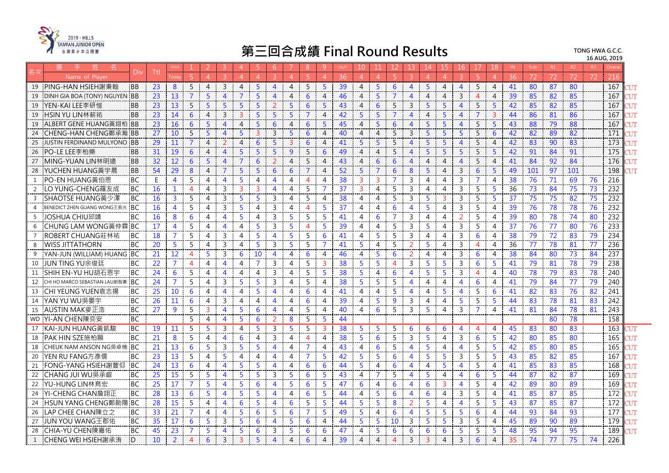

| 牪<br>名<br>Div                                                     | Ttl             |                   |                |                 | 3.             | $\overline{4}$ | -5             | -6             |                | 8              | 9              | OUT             | 10                    |                |                       |                         | 14             |                | 16             | 17                       | 18             | IN              | Sub             | R1              | R2  | R <sup>3</sup> | Overa |            |
|-------------------------------------------------------------------|-----------------|-------------------|----------------|-----------------|----------------|----------------|----------------|----------------|----------------|----------------|----------------|-----------------|-----------------------|----------------|-----------------------|-------------------------|----------------|----------------|----------------|--------------------------|----------------|-----------------|-----------------|-----------------|-----|----------------|-------|------------|
| Name of Plaver                                                    |                 |                   |                | $\overline{4}$  | $\overline{3}$ | $\overline{A}$ | $\overline{A}$ | $\mathbf{3}$   | $\overline{4}$ | $\overline{5}$ | $\overline{4}$ | 36              | 4                     | -4             | -5.                   | 3                       | $\overline{4}$ | $\Delta$       |                |                          | $\Delta$       | 36              | 72              | 72              | 72  |                | 216   |            |
| PING-HAN HSIEH謝秉翰<br><b>BB</b><br>19                              | 23              | 8                 | 5              | $\overline{4}$  | $\mathbf{3}$   | $\overline{4}$ | 5 <sup>5</sup> | $\overline{4}$ | $\overline{4}$ | 5              | -5             | 39              | $\overline{4}$        | 5              | 6                     | $\overline{4}$          | 5              | $\overline{4}$ | $\overline{4}$ | 5                        | 4              | 41              | 80              | 87              | 80  |                | 167   | דו זי      |
| 19<br>DINH GIA BOA (TONY) NGUYEN<br><b>BB</b>                     | 23              | 13                | $\overline{7}$ | 5               | $\overline{4}$ | $\overline{7}$ | 5 <sup>1</sup> | $\overline{4}$ | $\overline{4}$ | 6              | $\overline{4}$ | 46              | $\overline{4}$        | 5              | $\overline{7}$        | $\Delta$                | $\overline{4}$ | 4              | $\overline{3}$ | $\Delta$                 | 4              | 39              | 85              | 82              | 85  |                | 167   | דו זי      |
| YEN-KAI LEE李研愷<br><b>BB</b><br>19                                 | 23              | 13                | 5              | 5               | 5              | 5              | 5              | $\overline{2}$ | 5              | 6              | $\overline{5}$ | 43              | $\overline{4}$        | 6              | 5                     | 3                       | 5              | 5              | $\overline{4}$ | 5                        | 5              | 42              | 85              | 82              | 85  |                | 167   | <b>IIT</b> |
| HSIN YU LIN林薪祐<br><b>BB</b><br>19                                 | 23              | 14                | 6              | $\overline{4}$  | $\mathbf{3}$   | $\overline{3}$ | 5              | 5              | 5              | $\overline{7}$ | $\overline{4}$ | 42              | 5                     | 5              | $\overline{7}$        | 4                       | 4              | 5              | 4              | $\overline{7}$           | $\overline{3}$ | 44              | 86              | 81              | 86  |                | 167   | NТ         |
| ALBERT GENE HUANG黃翊柏 BB<br>19                                     | 23              | 16                | 6              | 5               | $\overline{4}$ | $\overline{4}$ | 5              | 6              | $\overline{4}$ | 6              | 5              | 45              | $\overline{4}$        | 5              | 6                     | $\overline{4}$          | 5              | 5              | $\overline{4}$ | 5                        | 5              | 43              | 88              | 79              | 88  |                | 167   | דו זי      |
| 24<br>CHENG-HAN CHENG鄭承瀚 IBB                                      | 27              | 10                | 5              | 5               | $\overline{4}$ | 5              | $\mathbf{3}$   | 3              | $5^{\circ}$    | 6              | $\overline{4}$ | 40              | $\overline{4}$        | $\overline{4}$ | 5                     | 3                       | 5              | 5              | 5              | 5                        | 6              | 42              | 82              | 89              | 82  |                | 171   | NЛ         |
| 25<br><b>JUSTIN FERDINAND MULYONO</b><br><b>BB</b>                | 29              | 11                | $\overline{7}$ | $\overline{4}$  | $\overline{2}$ | $\overline{4}$ | 6              | 5 <sup>5</sup> | $\overline{3}$ | 6              | $\overline{4}$ | 41              | $\overline{5}$        | $\overline{5}$ | 5                     | $\Delta$                | $\overline{5}$ | $\overline{5}$ | 4              | 5                        | $\overline{4}$ | 42              | 83              | 90              | 83  |                | 173   | <b>NUT</b> |
| PO-LE LEE李柏樂<br><b>BB</b><br>26                                   | 31              | 19                | 6              | $\overline{4}$  | $\overline{4}$ | 5 <sup>5</sup> | 5              | 5              | 9              | 5              | 6              | 49              | $\overline{4}$        | $\overline{4}$ | 5                     | 4                       | 5              | 5              | 5              | 5                        | 5              | 42              | 91              | 84              | 91  |                | 175   | NТ         |
| MING-YUAN LIN林明遠<br><b>BB</b><br>27                               | 32              | $12 \overline{ }$ | 6              | 5               | $\overline{4}$ | 7              | 6              | 2              | $\overline{4}$ | 5              | $\overline{4}$ | 43              | 4                     | 6              | 6                     | 4                       | 4              | 4              | 4              | 5                        | 4              | 41              | 84              | 92              | 84  |                | 176   | דו ד       |
| YUCHEN HUANG黃宇晨<br>28<br><b>BB</b>                                | 54              | 29                | 8              | $\overline{4}$  | 7              | 5              | 5              | 6              | 6              | $\overline{7}$ | $\overline{A}$ | 52              | 5                     | 7              | 6                     | 8                       | 5              | 4              | 3              | 6                        | 5              | 49              | 101             | 97              | 101 |                | 198   | דו ד       |
| PO-EN HUANG黃伯恩<br>$\mathbf{1}$<br><b>BC</b>                       | E               | 4                 | 5              | 4               | $\overline{4}$ | 5.             | $\overline{4}$ | 4              | 4              | $\overline{4}$ | 4              | 38              | 3                     | 3              | $\overline{7}$        | 3                       | 4              | 4              | 3              | $\overline{7}$           | 4              | 38              | 76              | 71              | 69  | 76             | 216   |            |
| LO YUNG-CHENG羅友成<br><b>BC</b><br>2                                | 16              | $\mathbf{1}$      | $\overline{4}$ | $\overline{4}$  | 3              | $\overline{3}$ | $\overline{3}$ | $\overline{4}$ | $\overline{4}$ | 5              | $\overline{7}$ | 37              | $\overline{3}$        | $\overline{4}$ | 5                     | $\overline{3}$          | 4              | $\overline{4}$ | $\overline{3}$ | 5                        | 5              | 36              | 73              | 84              | 75  | 73             | 232   |            |
| $\overline{3}$<br>SHAOTSE HUANG黃少澤<br><b>BC</b>                   | 16              | $\mathbf{3}$      | 5              | $\overline{4}$  | 3              | 5              | 5              | 3              | $\overline{4}$ | 5              | 4              | 38              | $\overline{4}$        | 4              | 5                     | $\overline{3}$          | 5              | 3              | 3              | 5                        | 5              | 37              | 75              | 75              | 82  | 75             | 232   |            |
| <b>BC</b><br>$\overline{4}$<br><b>BENEDICT ZHEN GUANG WONG王振光</b> | 16              | $\overline{4}$    | 5              | 4               | 3              | 5              | 4              | 3              | $\overline{4}$ | $\overline{4}$ | 5              | 37              | 4                     | 4              | 6                     | 4                       | 5              | 4              | 3              | 5                        | 4              | 39              | 76              | 78              | 78  | 76             | 232   |            |
| JOSHUA CHIU邱靖<br><b>BC</b><br>5                                   | 16              | 8                 | 6              | 4               | $\overline{4}$ | 5.             | $\overline{4}$ | 3              | 5              | 5              | -5             | 41              | 4                     | 6              | 7                     | 3                       | 4              | 4              | 2              | 5                        | 4              | 39              | 80              | 78              | 74  | 80             | 232   |            |
| CHUNG LAM WONG黃仲霖 BC<br>6                                         | 17              | $\overline{4}$    | 5              | $\overline{4}$  | $\overline{4}$ | $\overline{4}$ | 5              | $\overline{3}$ | 5 <sup>5</sup> | $\overline{4}$ | $\overline{5}$ | 39              | $\overline{4}$        | $\overline{4}$ | 5                     | $\overline{3}$          | 5              | 4              | $\overline{3}$ | 5                        | 4              | 37              | 76              | 77              | 80  | 76             | 233   |            |
| ROBERT CHUANG莊林祐<br>$\overline{7}$<br><b>BC</b>                   | 18              | $\mathcal{I}$     | 5              | 4               | 3              | $\overline{4}$ | 5              | $\overline{4}$ | 5              | 5              | 6              | 41              | $\overline{4}$        | 5              | 5                     | 3                       | 4              | 4              | 3              | 6                        | 4              | 38              | 79              | 72              | 83  | 79             | 234   |            |
| <b>WISS JITTATHORN</b><br><b>BC</b><br>8                          | 20              | 5.                | 5              | 4               | 3              | 4              | 5              | $\mathsf{3}$   | $\overline{5}$ | 5              | $\overline{7}$ | 41              | 5                     | $\overline{4}$ | 5                     | 2                       | 5              | 4              | 3              | $\boldsymbol{\varDelta}$ | 4              | 36              | 77              | 78              | 81  | 77             | 236   |            |
| YAN-JUN (WILLIAM) HUANG BC<br>9                                   | 21              | 12                | 4              | 5               | 3              | 6              | 10             | $\overline{4}$ | $\overline{4}$ | 6              | 4              | 46              | $\overline{4}$        | 5              | 6                     | 2                       | 4              | 4              | 3              | 6                        | 4              | 38              | 84              | 80              | 73  | 84             | 237   |            |
| JUN TING YU余俊廷<br>10<br>ВC                                        | 22              | $\overline{7}$    | 4              | 4               | 4              | 4              | $\overline{7}$ | 3              | 4              | 5              | $\overline{3}$ | 38              | 5                     | 5              | $\boldsymbol{\Delta}$ | $\overline{3}$          | 5              | 5              | 3              | 6                        | 5              | 41              | 79              | 81              | 78  | 79             | 238   |            |
| SHIH EN-YU HU胡石恩宇<br><b>BC</b><br>11                              | 24              | 6                 | 5              | 4               | $\overline{4}$ | $\overline{4}$ | $\overline{4}$ | $\mathsf{3}$   | $\overline{4}$ | 5              | $5^{\circ}$    | 38              | 5                     | $\overline{4}$ | 6                     | $\boldsymbol{\Lambda}$  | $\overline{5}$ | 5              | 3              | 4                        | $\overline{A}$ | 40              | 78              | 79              | 83  | 78             | 240   |            |
| CHI HO MARCO SEBASTIAN LAU劉智豪<br><b>BC</b><br>12                  | 24              | $\overline{7}$    | 5              | 4               | 3              | 5              | 5              | 3              | 4              | 5              | 4              | 38              | 5                     | 5              | 5                     | 4                       | 4              | 4              | 4              | 6                        | 4              | 41              | 79              | 84              | 77  | 79             | 240   |            |
| CHI YEUNG YUEN袁志揚<br><b>BC</b><br>13                              | 25              | 10 <sup>°</sup>   | 6              | 4               | $\overline{4}$ | $\overline{4}$ | 5              | $\overline{4}$ | $\overline{4}$ | 6              | $\overline{4}$ | 41              | $\overline{4}$        | $\overline{4}$ | 5                     | 4                       | 4              | 5.             | 4              | 5                        | 6              | 41              | 82              | 83              | 76  | 82             | 241   |            |
| YAN YU WU吳晏宇<br><b>BC</b><br>14                                   | 26              | 11                | 6              | 4               | 3              | 4              | 4              | 4              | 4              | 6              | 4              | 39              | $\overline{4}$        | 5              | 9                     | $\overline{3}$          | 4              | 4              | 5              | 5                        | 5              | 44              | 83              | 78              | 81  | 83             | 242   |            |
| 15<br>AUSTIN MAK麥正浩<br><b>BC</b>                                  | 27              | 9                 | 5              | 3               | $\overline{4}$ | 5              | 6              | 4              | 4              | 5              | 4              | 40              | 4                     | 6              | 5                     | 3                       | 5              | 4              | 3              | 7                        | 4              | 41              | 81              | 84              | 78  | 81             | 243   |            |
| <b>BC</b><br>YI-AN CHEN陳奕安<br>WD.                                 |                 |                   | 5              | 4               | $\overline{4}$ | 5              | 6              | $\overline{2}$ | 8              | 5              | 5              | 44              |                       |                |                       |                         |                |                |                |                          |                |                 |                 | 80              | 78  |                | 158   |            |
| KAI-JUN HUANG黃凱駿<br><b>BC</b><br>17                               | $\overline{19}$ | 11                | 5              | 5               | 3              | $\overline{4}$ | 5              | 3              | 5              | 5              | 3              | $\overline{38}$ | -5                    | 5              | 5                     | 6                       | 6              | 6              | $\overline{4}$ | 4                        | 4              | $\overline{45}$ | $\overline{83}$ | $\overline{80}$ | 83  |                | 163   | ТUТ        |
| PAK HIN SZE施柏顯<br><b>BC</b><br>18                                 | 21              | 8                 | 5              | 4               | 4              | 6              | 4              | $\mathbf{3}$   | $\overline{4}$ | $\overline{4}$ | 4              | 38              | 5                     | 6              | 5                     | 3                       | 5              | 4              | 3              | 6                        | 5              | 42              | 80              | 85              | 80  |                | 165   |            |
| CHEUK NAM ANSON NG吳卓楠<br><b>BC</b><br>18                          | 21              | 13                | 6              | 5               | 3              | 5              | 5.             | $\overline{4}$ | 4              | $\overline{7}$ | 4              | 43              | 4                     | 6              | 5                     | 4                       | 5              | 4              | 4              | 5                        | 5              | 42              | 85              | 80              | 85  |                | 165   | דו ד       |
| 20<br>YEN RU FANG方彥儒<br>BC                                        | 23              | 13                | 5              | $\overline{4}$  | 5              | $\overline{4}$ | 4              | 4              | 4              | $\overline{7}$ | 5              | 42              | 5                     | 5              | 6                     | 4                       | 5              | 5              | 3              | 5                        | 5              | 43              | 85              | 82              | 85  |                | 167   | <b>NIT</b> |
| FONG-YANG HSIEH謝豐仰<br><b>BC</b><br>21                             | 24              | 13                | 6              | 4               | $\overline{4}$ | 5              | 5              | $\overline{4}$ | $\overline{4}$ | 6              | 6              | 44              | 5                     | $\overline{4}$ | 6                     | 4                       | 4              | 5              | 4              | 5                        | 4              | 41              | 85              | 83              | 85  |                | 168   | TUT        |
| CHANG JUI WU吳承叡<br>BC<br>22                                       | 25              | 15                | 5              | 5               | $\overline{4}$ | 5              | 5              | 3              | 5              | 6              | $5^{\circ}$    | 43              | $\overline{4}$        | 7              | 5                     | $\overline{4}$          | 5              | 4              | $\overline{4}$ | 6                        | 5              | 44              | 87              | 82              | 87  |                | 169   | ТUТ        |
| YU-HUNG LIN林育宏<br><b>BC</b><br>22                                 | 25              | 17                | $\overline{7}$ | 5               | $\overline{4}$ | 5              | 6              | $\overline{4}$ | $\overline{5}$ | 6              | 5              | 47              | 6                     | $\overline{4}$ | 6                     | 4                       | 6              | 3              | $\overline{4}$ | 5                        | 4              | 42              | 89              | 80              | 89  |                | 169   | דו זי      |
| YI-CHENG CHAN詹翊正<br>24<br><b>BC</b>                               | 28              | 13                | 6              | 5               | $\overline{4}$ | 5              | 5              | $\overline{4}$ | $\overline{4}$ | 6              | 5              | 44              | $\overline{4}$        | 5              | 6                     | $\overline{\mathbf{4}}$ | 6              | 4              | 3              | 5                        | 4              | 41              | 85              | 87              | 85  |                | 172   | ľUT        |
| <b>BC</b><br>24<br>HSUN YANG CHENG鄭勛陽                             | 28              | 15                | 5              | $\overline{4}$  | 4              | 6              | 5              | $\overline{4}$ | 6              | 5              | 5              | 44              | 5                     | 5              | 8                     | $\overline{2}$          | 5              | 4              | 4              | 5                        | 5              | 43              | 87              | 85              | 87  |                | 172   | <b>IIT</b> |
| LAP CHEE CHAN陳立之<br><b>BC</b><br>26                               | 33              | 21                | $\overline{7}$ | 4               | 4              | 5              | 6              | 5              | 6              | $\overline{7}$ | $5^{\circ}$    | 49              | 5                     | 4              | 6                     | 4                       | 5              | 5              | 5              | 6                        | 4              | 44              | 93              | 84              | 93  |                | 177   | דו זי      |
| <b>BC</b><br>JUN YOU WANG王郡佑<br>27                                | 35              | 17                | 6              | 5               | 3              | 5              | 6              | $\overline{4}$ | $\overline{5}$ | 6              | $\overline{A}$ | 44              | 5                     | 5              | 10                    | $\overline{3}$          | 5              | 5              | 3              | 5                        | 4              | 45              | 89              | 90              | 89  |                | 179   | דו זי      |
| CHIA-YU CHEN陳嘉佑<br><b>BC</b><br>28                                | 45              | 23                | 7              | 5               | $\overline{4}$ | 5              | 6              | 3              | 5              | 6              | 6              | 47              | $\boldsymbol{\Delta}$ | 5              | 6                     | 6                       | 6              | 6              | 5              | 5                        | 5              | 48              | 95              | 94              | 95  |                | 189   | דו די      |
| $\Box$<br><sup>1</sup><br>CHENG WEI HSIEH謝承洧                      | 10              | $\overline{2}$    | $\overline{A}$ | $6\overline{6}$ | $\overline{3}$ | $\mathbf{R}$   | $\overline{5}$ | $\overline{4}$ | $\overline{4}$ | 6              | $\overline{4}$ | 39              | $\overline{4}$        | $\overline{4}$ | $\Delta$              | $\overline{3}$          | ्र             | 4              | $\overline{3}$ | 6                        | $\overline{A}$ | 35              | 74              | 77              | 75  | 74             | 226   |            |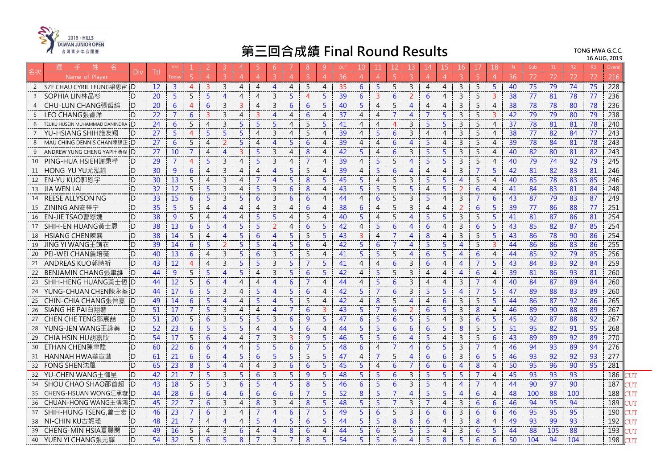

|                | 姓<br>名                         | Div            | Ttl             |                |                |                | 3              | $\overline{A}$ | 5.              | -6             |                | 8              | -9             | OUT | 10             |                |                | 13                       | 14             | 15             | 16.            | 17             | 18.            | IN. | Sub             | R1  | R2              | R3 | Overa |  |
|----------------|--------------------------------|----------------|-----------------|----------------|----------------|----------------|----------------|----------------|-----------------|----------------|----------------|----------------|----------------|-----|----------------|----------------|----------------|--------------------------|----------------|----------------|----------------|----------------|----------------|-----|-----------------|-----|-----------------|----|-------|--|
|                | Name of Plaver                 |                |                 |                |                | $\overline{4}$ | $\mathcal{R}$  | $\overline{4}$ | $\overline{4}$  | $\mathbf{R}$   | $\overline{A}$ | $\overline{5}$ | $\overline{4}$ | 36  | 4              | $\overline{4}$ | -5             |                          | 4              | $\overline{4}$ |                |                | $\Delta$       | 36  | 72              | 72  | 72              | 72 | 216   |  |
| 2              | SZE CHAU CYRIL LEUNG梁思宙 D      |                | 12              | $\mathbf{3}$   | $\overline{4}$ | $\overline{3}$ | $\mathbf{3}$   | $\overline{4}$ | $\overline{4}$  | $\overline{4}$ | $\overline{4}$ | 5              | $\overline{4}$ | 35  | 6              | 5              | 5              | 3                        | $\overline{4}$ | 4              | 3              | 5              | 5              | 40  | 75              | 79  | 74              | 75 | 228   |  |
| $\overline{3}$ | SOPHIA LIN林品杉                  | D              | 20              | 5              | 5              | $\overline{5}$ | $\overline{4}$ | $\overline{4}$ | $\overline{4}$  | $\overline{3}$ | 5              | $\overline{4}$ | 5              | 39  | 6              | 3              | 6              | $\overline{\phantom{0}}$ | 6              | $\overline{4}$ | $\overline{3}$ | 5              | 3              | 38  | 77              | 81  | 78              | 77 | 236   |  |
| $\overline{4}$ | CHU-LUN CHANG張哲綸               | $\mathsf{D}$   | 20              | 6              | $\overline{4}$ | 6              | $\mathbf{3}$   | $\overline{3}$ | $\overline{4}$  | 3              | 6              | 6              | 5              | 40  | 5              | 4              | 5              | $\boldsymbol{\varDelta}$ | $\overline{4}$ | 4              | 3              | 5              | $\overline{4}$ | 38  | 78              | 78  | 80              | 78 | 236   |  |
| 5              | LEO CHANG張睿洋                   | D.             | 22              | $\overline{7}$ | 6              | $\overline{3}$ | $\overline{3}$ | $\overline{4}$ | $\overline{3}$  | $\overline{4}$ | 4              | 6              | $\overline{4}$ | 37  | 4              | 4              | $\overline{7}$ | $\overline{4}$           | 7              | 5              | $\mathbf{3}$   | 5              | 3              | 42  | 79              | 79  | 80              | 79 | 238   |  |
| 6              | TEUKU HUSEIN MUHAMMAD DANINDRA | <b>D</b>       | $\overline{24}$ | 6              | 5              | $\overline{4}$ | $\overline{3}$ | 5              | 5               | 5              | $\overline{4}$ | 5              | 5              | 41  | 4              | 4              | $\overline{4}$ | 3                        | -5             | 5              | 3              | 5              | $\overline{4}$ | 37  | 78              | 81  | 81              | 78 | 240   |  |
|                | YU-HSIANG SHIH施友翔              | <b>D</b>       | 27              | 5              | $\overline{4}$ | 5              | $5^{\circ}$    | $5^{\circ}$    | $\overline{4}$  | 3              | $\overline{4}$ | 5              | $\overline{4}$ | 39  | $\overline{4}$ | 5              | 6              | 3                        | 4              | $\overline{4}$ | 3              | 5              | $\overline{4}$ | 38  | 77              | 82  | 84              | 77 | 243   |  |
| 8              | MAU CHING DENNIS CHAN陳謀正       | $\Box$         | 27              | 6              | 5              | $\overline{4}$ | 2              | $\overline{5}$ | $\overline{4}$  | $\overline{4}$ | 5              | 6              | $\overline{4}$ | 39  | $\overline{4}$ | $\overline{4}$ | 6              | $\overline{4}$           | $\overline{5}$ | $\overline{4}$ | $\mathsf{3}$   | 5              | $\overline{4}$ | 39  | 78              | 84  | 81              | 78 | 243   |  |
| 9              | ANDREW YUNG CHENG YAP叶湧程   D   |                | 27              | 10             | $\overline{7}$ | $\overline{4}$ | $\overline{4}$ | $\overline{3}$ | 5               | $\mathbf{3}$   | $\overline{4}$ | 8              | $\overline{4}$ | 42  | 5              | $\overline{4}$ | 6              | $\overline{3}$           | $\overline{5}$ | 5              | $\mathbf{3}$   | 5              | $\overline{4}$ | 40  | 82              | 80  | 81              | 82 | 243   |  |
| 10             | PING-HUA HSIEH謝秉樺              | D              | 29              | 7              | $\overline{4}$ | 5              | 3              | $\overline{4}$ | 5               | 3              | 4              | $\overline{7}$ | 4              | 39  | 4              | 5              | 5              | $\overline{4}$           | 5              | 5              | 3              | 5              | 4              | 40  | -79             | 74  | 92              | 79 | 245   |  |
| 11             | HONG-YU YU尤泓諭                  | D              | 30              | 9              | 6              | $\overline{4}$ | $\mathbf{3}$   | $\overline{4}$ | $\overline{4}$  | $\overline{4}$ | 5              | 5              | $\overline{4}$ | 39  | 4              | 5              | 6              | $\overline{4}$           | $\overline{4}$ | $\overline{4}$ | 3              | 7              | 5              | 42  | 81              | 82  | 83              | 81 | 246   |  |
| 12             | EN-YU KUO郭恩宇                   | D              | 30              | 13             | 5              | $\overline{4}$ | $\mathbf{3}$   | $\overline{4}$ | $\overline{7}$  | $\overline{4}$ | 5              | 8              | 5              | 45  | 5              | 4              | 5              | 3                        | 5              | 5              | $\overline{4}$ | 5              | 4              | 40  | 85              | 78  | 83              | 85 | 246   |  |
| 13             | <b>JIA WEN LAI</b>             | <sup>n</sup>   | 32              | 12             | 5              | 5              | $\overline{3}$ | $\overline{4}$ | $5\phantom{a}$  | $\mathsf{3}$   | 6              | 8              | $\overline{4}$ | 43  | 5              | 5              | 5              | 5                        | $\overline{4}$ | 5              | 2              | 6              | $\overline{4}$ | 41  | 84              | 83  | 81              | 84 | 248   |  |
| 14             | <b>REESE ALLYSON NG</b>        | $\Box$         | 33              | 15             | 6              | 5 <sup>5</sup> | $\mathbf{3}$   | $\overline{5}$ | 6               | 3              | 6              | 6              | $\overline{4}$ | 44  | 4              | 6              | -5             | 3                        | 5              | 4              | 3              | 7              | 6              | 43  | 87              | 79  | 83              | 87 | 249   |  |
| 15             | ZINING AN安梓宁                   | D              | 35              | 5              | 5              | $\overline{4}$ | $\overline{4}$ | $\overline{4}$ | $\overline{4}$  | 3              | 4              | 6              | 4              | 38  | 6              | 4              | 5              | 3                        | 4              | 4              | 2              | 6              | 5              | 39  | 77              | 86  | 88              | 77 | 251   |  |
| 16             | <b>EN-JIE TSAO曹恩婕</b>          | D              | 38              | 9              | 5              | $\overline{4}$ | $\overline{4}$ | $\overline{4}$ | $5^{\circ}$     | $5^{\circ}$    | $\overline{4}$ | 5              | $\overline{4}$ | 40  | 5              | $\overline{4}$ | 5              | $\overline{4}$           | 5              | 5              | $\mathbf{3}$   | 5              | 5 <sup>5</sup> | 41  | 81              | 87  | 86              | 81 | 254   |  |
| 17             | SHIH-EN HUANG黃十恩               | D              | 38              | 13             | 6              | $\overline{5}$ | $\overline{4}$ | $\overline{5}$ | $\overline{5}$  | 2              | $\overline{4}$ | 6              | 5              | 42  | $\overline{4}$ | 5              | 6              | $\overline{4}$           | 6              | $\overline{4}$ | $\overline{3}$ | 6              | 5              | 43  | 85              | 82  | 87              | 85 | 254   |  |
| 18             | HSIANG CHEN陳襄                  | D              | 38              | 14             | 5              | $\overline{4}$ | $\overline{4}$ | 5              | $6\phantom{1}6$ | $\overline{4}$ | 5              | 5              | 5              | 43  | 3              | $\overline{4}$ | $\overline{7}$ | $\overline{4}$           | 8              | $\overline{4}$ | $\mathbf{3}$   | 5              | 5              | 43  | 86              | 78  | 90              | 86 | 254   |  |
| 19             | JING YI WANG王靖衣                | <sup>D</sup>   | 39              | 14             | 6              | 5              | 2              | 5              | 5               | $\overline{4}$ | 5              | 6              | $\overline{4}$ | 42  | 5              | 6              | $\overline{7}$ | $\overline{4}$           | 5              | 5              | $\overline{4}$ | 5              | 3              | 44  | 86              | 86  | 83              | 86 | 255   |  |
| 20             | PEI-WEI CHAN詹培薇                | <sup>'</sup> D | 40              | 13             | 6              | $\overline{4}$ | $\mathbf{3}$   | 5              | 6               | 3              | 5              | 5              | $\overline{4}$ | 41  | 5              | 5              | .5             | 4                        | 6              | 5              | 4              | 6              | $\overline{4}$ | 44  | 85              | 92  | 79              | 85 | 256   |  |
| 21             | ANDREAS KUO郭時祈                 | D              | 43              | 12             | $\overline{4}$ | $\overline{4}$ | $\overline{3}$ | $\overline{5}$ | 5               | $\mathbf{3}$   | 5              | $\overline{7}$ | 5              | 41  | 4              | 4              | 6              | 3                        | 6              | 4              | $\overline{4}$ | $\overline{7}$ | 5              | 43  | 84              | 83  | 92              | 84 | 259   |  |
| 22             | BENJAMIN CHANG張聿維              | <sup>D</sup>   | 44              | 9              | 5              | $\overline{5}$ | $\overline{4}$ | $\overline{5}$ | $\overline{4}$  | $\mathbf{3}$   | 5              | 6              | $\overline{5}$ | 42  | 4              | 5              | 5              | $\mathbf{3}$             | $\overline{A}$ | $\overline{4}$ | $\overline{4}$ | 6              | $\overline{4}$ | 39  | 81              | 86  | 93              | 81 | 260   |  |
| 23             | SHIH-HENG HUANG黃士恆 ID          |                | 44              | 12             | 5              | 6              | $\overline{4}$ | $\overline{4}$ | $\overline{4}$  | $\overline{4}$ | 6              | $\overline{7}$ | $\overline{4}$ | 44  | 4              | .5             | 6              | $\overline{3}$           | 4              | 4              | 3              | 7              | 4              | 40  | -84             | 87  | 89              | 84 | 260   |  |
| 24             | YUNG-CHUAN CHEN陳永荃 D           |                | 44              | 17             | 6              | $\overline{5}$ | $\mathbf{3}$   | $\overline{4}$ | $\overline{5}$  | $\overline{4}$ | 5              | 6              | $\overline{4}$ | 42  | 5              | $\overline{7}$ | 6              | 3                        | 5              | 5              | $\overline{4}$ | $\overline{7}$ | 5              | 47  | 89              | 88  | 83              | 89 | 260   |  |
| 25             | <b>CHIN-CHIA CHANG張晉嘉</b>      | $\Box$         | 49              | 14             | 6              | 5 <sup>5</sup> | $\overline{4}$ | $\overline{4}$ | 5               | $\overline{4}$ | 5              | 5              | $\overline{4}$ | 42  | 4              | 8              | 5              | $\overline{4}$           | $\overline{4}$ | 6              | 3              | 5              | 5              | 44  | 86              | 87  | 92              | 86 | 265   |  |
| 26             | SIANG HE PAI白翔赫                | D.             | 51              | 17             | $\overline{7}$ | 5              | 3              | $\overline{4}$ | $\overline{4}$  | $\overline{4}$ | $\overline{7}$ | 6              | 3              | 43  |                | 7              | 6              |                          | 6              | 5              | 3              | 8              | 4              | 46  | 89              | 90  | 88              | 89 | 267   |  |
| 27             | <b>CHEN CHE TENG鄧宸喆</b>        | D              | 51              | 20             | 5              | 6              | $\mathbf{3}$   | $\overline{5}$ | $5^{\circ}$     | $\mathbf{3}$   | 6              | 9              | 5              | 47  | 6              | 5              | 6              | 5                        | 5              | $\overline{4}$ | 3              | 6              | 5              | 45  | 92              | 87  | 88              | 92 | 267   |  |
| 28             | YUNG-JEN WANG王詠蓁               | <b>D</b>       | 52              | 23             | 6              | 5              | $5^{\circ}$    | $5^{\circ}$    | $\overline{4}$  | $\overline{4}$ | 5              | 6              | $\overline{4}$ | 44  | 5              | 5              | 6              | 6                        | 6              | 5              | 8              | 5              | 5              | 51  | 95              | 82  | 91              | 95 | 268   |  |
| 29             | CHIA HSIN HU胡嘉欣                | D              | 54              | 17             | 5              | 6              | $\overline{4}$ | $\overline{4}$ | $\overline{7}$  | $\mathbf{3}$   | $\overline{3}$ | 9              | 5              | 46  | 5              | 5              | 6              | $\overline{4}$           | 5              | $\overline{4}$ | $\mathbf{3}$   | 5              | 6              | 43  | 89              | 89  | 92              | 89 | 270   |  |
| 30             | ETHAN CHEN陳聿陞                  | $\Box$         | 60              | 22             | 6              | 6              | $\overline{4}$ | $\overline{4}$ | 5               | 5              | 6              | $\overline{7}$ | 5              | 48  | 6              | 4              |                | $\overline{4}$           | 6              | 5              | 3              | 7              | 4              | 46  | 94              | 93  | 89              | 94 | 276   |  |
| 31             | HANNAH HWA華宣菡                  | iD.            | 61              | 21             | 6              | 6              | $\overline{4}$ | 5              | 6               | 5              | 5              | 5              | 5              | 47  | 4              | 7              | .5             | $\overline{4}$           | 6              | 6              | 3              | 6              | 5              | 46  | 93              | 92  | 92              | 93 | 277   |  |
| 32             | FONG SHEN沈風                    | .D             | 65              | 23             | 8              | $5\phantom{a}$ | $\overline{4}$ | $\overline{4}$ | $\overline{a}$  | $\mathbf{3}$   | 6              | 6              | 5              | 45  | 5              | $\overline{4}$ | 6              | $\overline{7}$           | 6              | 6              | $\overline{4}$ | 8              | 4              | 50  | 95              | 96  | 90              | 95 | 281   |  |
| 32             | YU-CHEN WANG王御呈                | <b>D</b>       | 42              | 21             | $\overline{7}$ | 5              | $\mathbf{3}$   | 5 <sup>5</sup> | 6               | $\mathbf{3}$   | 5              | 9              | 5              | 48  | 5              | 5              | 6              | $\overline{3}$           | $\overline{5}$ | 5              | 5              | $\overline{7}$ | $\overline{4}$ | 45  | $\overline{93}$ | 93  | $\overline{93}$ |    | 186   |  |
| 34             | SHOU CHAO SHAO邵首超              | D              | 43              | 18             | 5              | 5              | $\overline{3}$ | 6              | 5               | $\overline{4}$ | 5              | 8              | -5             | 46  | 6              | .5             | 6              | 3                        | 5              | $\overline{4}$ | $\overline{4}$ | 7              | 4              | 44  | 90              | 97  | 90              |    | 187   |  |
| 35             | CHENG-HSUAN WONG汪承璇 ID         |                | 44              | 28             | 6              | 6              | $\overline{4}$ | 6              | 6               | 6              | 6              | $\overline{7}$ | 5              | 52  | 8              | 5              | $\overline{7}$ | $\overline{4}$           | 5              | 5.             | $\overline{4}$ | 6              | $\overline{4}$ | 48  | 100             | 88  | 100             |    | 188   |  |
| 36             | CHUAN-HONG WANG王傳鴻 ID          |                | 45              | 22             | $\overline{7}$ | 6              | $\mathbf{3}$   | $\overline{4}$ | 8               | 3              | $\overline{4}$ | 8              | 5              | 48  | 5              | 5              | $\overline{7}$ | $\overline{3}$           | $\overline{7}$ | $\overline{4}$ | 3              | 6              | 6              | 46  | 94              | 95  | 94              |    | 189   |  |
| 37             | SHIH-HUNG TSENG,曾士宏 ID         |                | 46              | 23             | $\overline{7}$ | 6              | $\mathbf{3}$   | $\overline{4}$ | $\overline{7}$  | $\overline{4}$ | 6              | $\overline{7}$ | 5              | 49  | 5              | 6              | 5              | 3                        | 6              | 6              | $\mathbf{3}$   | 6              | 6              | 46  | 95              | 95  | 95              |    | 190   |  |
| 38             | NI-CHIN KU古妮瑾                  | D              | 48              | 21             | $\overline{7}$ | $\overline{4}$ | $\overline{4}$ | $\overline{4}$ | 5               | $\overline{4}$ | 5              | 6              | 5              | 44  | 5              | .5             | 8              | 6                        | 6              | $\overline{4}$ | $\mathbf{3}$   | 8              | $\overline{4}$ | 49  | 93              | 99  | 93              |    | 192   |  |
| 39             | CHENG-MIN HSIA夏晟閔              | D              | 49              | 16             | 5              | $\overline{4}$ | 3              | 6              | $\overline{4}$  | 4              | 8              | 6              | 4              | 44  | 5              | 6              | .5             | 5                        | 5              | $\overline{A}$ | 3              | 6              | 5              | 44  | 88              | 105 | 88              |    | 193   |  |
| 40             | YUEN YI CHANG張元譯               | <sup>n</sup>   | 54              | 32             | 5              | 6              | 5              | 8              | $\overline{7}$  | 3              | $\overline{7}$ | 8              | 5              | 54  | 5              | 5              | 6              | $\overline{4}$           | 5              | 8              | 5              | 6              | 6              | 50  | 104             | 94  | 104             |    | 198   |  |